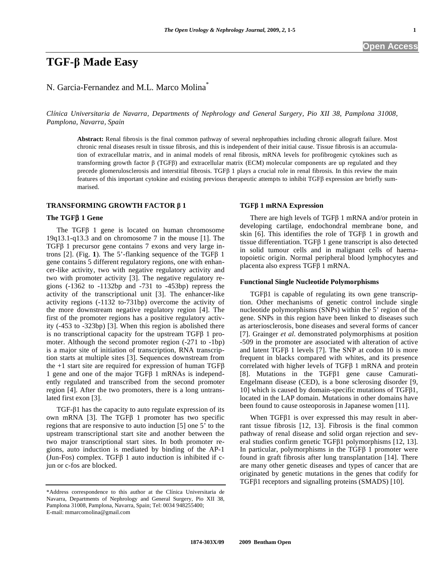# **TGF- Made Easy**

## N. Garcia-Fernandez and M.L. Marco Molina\*

*Clínica Universitaria de Navarra, Departments of Nephrology and General Surgery, Pio XII 38, Pamplona 31008, Pamplona, Navarra, Spain* 

**Abstract:** Renal fibrosis is the final common pathway of several nephropathies including chronic allograft failure. Most chronic renal diseases result in tissue fibrosis, and this is independent of their initial cause. Tissue fibrosis is an accumulation of extracellular matrix, and in animal models of renal fibrosis, mRNA levels for profibrogenic cytokines such as transforming growth factor  $\beta$  (TGF $\beta$ ) and extracellular matrix (ECM) molecular components are up regulated and they precede glomerulosclerosis and interstitial fibrosis. TGF $\beta$  1 plays a crucial role in renal fibrosis. In this review the main features of this important cytokine and existing previous therapeutic attempts to inhibit TGFB expression are briefly summarised.

## **TRANSFORMING GROWTH FACTOR 1**

#### **The TGF 1 Gene**

The TGF $\beta$  1 gene is located on human chromosome 19q13.1-q13.3 and on chromosome 7 in the mouse [1]. The TGF $\beta$  1 precursor gene contains 7 exons and very large introns  $[2]$ . (Fig. 1). The 5'-flanking sequence of the TGF $\beta$  1 gene contains 5 different regulatory regions, one with enhancer-like activity, two with negative regulatory activity and two with promoter activity [3]. The negative regulatory regions (-1362 to -1132bp and -731 to -453bp) repress the activity of the transcriptional unit [3]. The enhancer-like activity regions (-1132 to-731bp) overcome the activity of the more downstream negative regulatory region [4]. The first of the promoter regions has a positive regulatory activity (-453 to -323bp) [3]. When this region is abolished there is no transcriptional capacity for the upstream TGF $\beta$  1 promoter. Although the second promoter region (-271 to -1bp) is a major site of initiation of transcription, RNA transcription starts at multiple sites [3]. Sequences downstream from the  $+1$  start site are required for expression of human TGF $\beta$ 1 gene and one of the major  $TGF\beta$  1 mRNAs is independently regulated and transcribed from the second promoter region [4]. After the two promoters, there is a long untranslated first exon [3].

TGF- $\beta$ 1 has the capacity to auto regulate expression of its own mRNA [3]. The TGF $\beta$  1 promoter has two specific regions that are responsive to auto induction [5] one 5' to the upstream transcriptional start site and another between the two major transcriptional start sites. In both promoter regions, auto induction is mediated by binding of the AP-1 (Jun-Fos) complex. TGF $\beta$  1 auto induction is inhibited if cjun or c-fos are blocked.

#### **TGF 1 mRNA Expression**

There are high levels of TGF $\beta$  1 mRNA and/or protein in developing cartilage, endochondral membrane bone, and skin  $[6]$ . This identifies the role of TGF $\beta$  1 in growth and tissue differentiation. TGF $\beta$  1 gene transcript is also detected in solid tumour cells and in malignant cells of haematopoietic origin. Normal peripheral blood lymphocytes and placenta also express  $TGF\beta$  1 mRNA.

#### **Functional Single Nucleotide Polymorphisms**

 $TGF\beta1$  is capable of regulating its own gene transcription. Other mechanisms of genetic control include single nucleotide polymorphisms (SNPs) within the 5' region of the gene. SNPs in this region have been linked to diseases such as arteriosclerosis, bone diseases and several forms of cancer [7]. Grainger *et al*. demonstrated polymorphisms at position -509 in the promoter are associated with alteration of active and latent TGF $\beta$  1 levels [7]. The SNP at codon 10 is more frequent in blacks compared with whites, and its presence correlated with higher levels of TGF $\beta$  1 mRNA and protein [8]. Mutations in the TGF $\beta$ 1 gene cause Camurati-Engelmann disease (CED), is a bone sclerosing disorder [9, 10] which is caused by domain-specific mutations of TGF $\beta$ 1, located in the LAP domain. Mutations in other domains have been found to cause osteoporosis in Japanese women [11].

When  $TGF\beta1$  is over expressed this may result in aberrant tissue fibrosis [12, 13]. Fibrosis is the final common pathway of renal disease and solid organ rejection and several studies confirm genetic TGF $\beta$ 1 polymorphisms [12, 13]. In particular, polymorphisms in the TGF $\beta$  1 promoter were found in graft fibrosis after lung transplantation [14]. There are many other genetic diseases and types of cancer that are originated by genetic mutations in the genes that codify for TGF $\beta$ 1 receptors and signalling proteins (SMADS) [10].

<sup>\*</sup>Address correspondence to this author at the Clínica Universitaria de Navarra, Departments of Nephrology and General Surgery, Pio XII 38, Pamplona 31008, Pamplona, Navarra, Spain; Tel: 0034 948255400; E-mail: mmarcomolina@gmail.com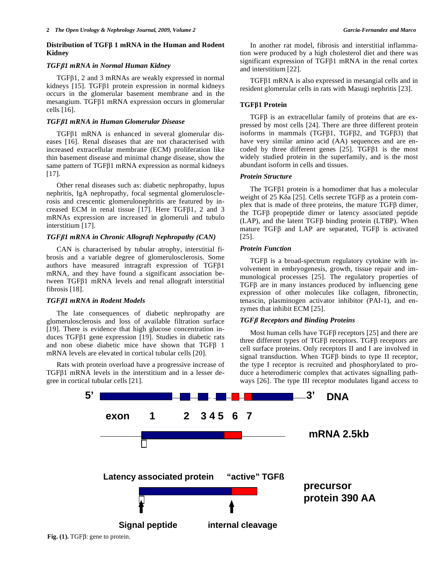## **Distribution of TGF 1 mRNA in the Human and Rodent Kidney**

## *TGF1 mRNA in Normal Human Kidney*

 $TGF\beta1$ , 2 and 3 mRNAs are weakly expressed in normal kidneys  $[15]$ . TGF $\beta$ 1 protein expression in normal kidneys occurs in the glomerular basement membrane and in the  $m$ esangium. TGF $\beta$ 1 mRNA expression occurs in glomerular cells [16].

#### *TGF1 mRNA in Human Glomerular Disease*

 $TGF\beta1$  mRNA is enhanced in several glomerular diseases [16]. Renal diseases that are not characterised with increased extracellular membrane (ECM) proliferation like thin basement disease and minimal change disease, show the same pattern of TGF $\beta$ 1 mRNA expression as normal kidneys [17].

 Other renal diseases such as: diabetic nephropathy, lupus nephritis, IgA nephropathy, focal segmental glomerulosclerosis and crescentic glomerulonephritis are featured by increased ECM in renal tissue [17]. Here TGF $\beta$ 1, 2 and 3 mRNAs expression are increased in glomeruli and tubulo interstitium [17].

## *TGF1 mRNA in Chronic Allograft Nephropathy (CAN)*

 CAN is characterised by tubular atrophy, interstitial fibrosis and a variable degree of glomerulosclerosis. Some authors have measured intragraft expression of  $TGF\beta1$ mRNA, and they have found a significant association between TGF $\beta$ 1 mRNA levels and renal allograft interstitial fibrosis [18].

#### *TGF1 mRNA in Rodent Models*

 The late consequences of diabetic nephropathy are glomerulosclerosis and loss of available filtration surface [19]. There is evidence that high glucose concentration induces TGF $\beta$ 1 gene expression [19]. Studies in diabetic rats and non obese diabetic mice have shown that  $TGF\beta$  1 mRNA levels are elevated in cortical tubular cells [20].

 Rats with protein overload have a progressive increase of  $TGF\beta1$  mRNA levels in the interstitium and in a lesser degree in cortical tubular cells [21].

 In another rat model, fibrosis and interstitial inflammation were produced by a high cholesterol diet and there was significant expression of TGF $\beta$ 1 mRNA in the renal cortex and interstitium [22].

 $TGF\beta1$  mRNA is also expressed in mesangial cells and in resident glomerular cells in rats with Masugi nephritis [23].

## **TGF1 Protein**

 $TGF\beta$  is an extracellular family of proteins that are expressed by most cells [24]. There are three different protein isoforms in mammals (TGF $\beta$ 1, TGF $\beta$ 2, and TGF $\beta$ 3) that have very similar amino acid (AA) sequences and are encoded by three different genes [25]. TGF $\beta$ 1 is the most widely studied protein in the superfamily, and is the most abundant isoform in cells and tissues.

#### *Protein Structure*

The TGF $\beta$ 1 protein is a homodimer that has a molecular weight of 25 K $\delta$ a [25]. Cells secrete TGF $\beta$  as a protein complex that is made of three proteins, the mature  $TGF\beta$  dimer, the TGF $\beta$  propeptide dimer or latency associated peptide  $(LAP)$ , and the latent TGF $\beta$  binding protein (LTBP). When mature TGF $\beta$  and LAP are separated, TGF $\beta$  is activated [25].

## *Protein Function*

 $TGF\beta$  is a broad-spectrum regulatory cytokine with involvement in embryogenesis, growth, tissue repair and immunological processes [25]. The regulatory properties of  $TGF\beta$  are in many instances produced by influencing gene expression of other molecules like collagen, fibronectin, tenascin, plasminogen activator inhibitor (PAI-1), and enzymes that inhibit ECM [25].

## *TGF Receptors and Binding Proteins*

Most human cells have  $TGF\beta$  receptors [25] and there are three different types of TGF $\beta$  receptors. TGF $\beta$  receptors are cell surface proteins. Only receptors II and I are involved in signal transduction. When  $TGF\beta$  binds to type II receptor, the type I receptor is recruited and phosphorylated to produce a heterodimeric complex that activates signalling pathways [26]. The type III receptor modulates ligand access to

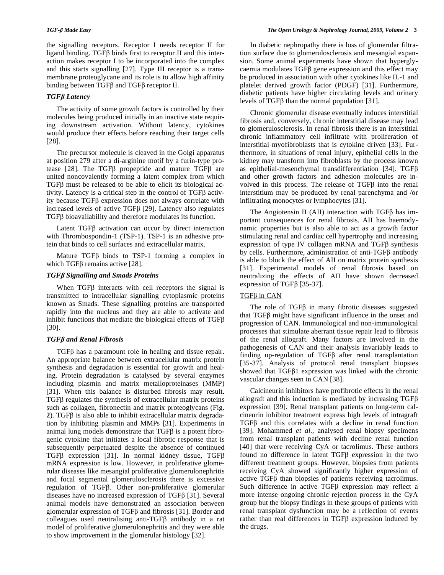the signalling receptors. Receptor I needs receptor II for ligand binding. TGF $\beta$  binds first to receptor II and this interaction makes receptor I to be incorporated into the complex and this starts signalling [27]. Type III receptor is a transmembrane proteoglycane and its role is to allow high affinity binding between  $TGF\beta$  and  $TGF\beta$  receptor II.

## *TGF Latency*

 The activity of some growth factors is controlled by their molecules being produced initially in an inactive state requiring downstream activation. Without latency, cytokines would produce their effects before reaching their target cells [28].

 The precursor molecule is cleaved in the Golgi apparatus at position 279 after a di-arginine motif by a furin-type protease [28]. The TGF $\beta$  propeptide and mature TGF $\beta$  are united noncovalently forming a latent complex from which  $TGF\beta$  must be released to be able to elicit its biological activity. Latency is a critical step in the control of  $TGF\beta$  activity because  $TGF\beta$  expression does not always correlate with increased levels of active TGFB [29]. Latency also regulates TGF<sub>β</sub> bioavailability and therefore modulates its function.

Latent TGF $\beta$  activation can occur by direct interaction with Thrombospondin-1 (TSP-1). TSP-1 is an adhesive protein that binds to cell surfaces and extracellular matrix.

Mature TGF $\beta$  binds to TSP-1 forming a complex in which TGF $\beta$  remains active [28].

## *TGF Signalling and Smads Proteins*

When TGF $\beta$  interacts with cell receptors the signal is transmitted to intracellular signalling cytoplasmic proteins known as Smads. These signalling proteins are transported rapidly into the nucleus and they are able to activate and inhibit functions that mediate the biological effects of  $TGF\beta$ [30].

## *TGF and Renal Fibrosis*

 $TGF\beta$  has a paramount role in healing and tissue repair. An appropriate balance between extracellular matrix protein synthesis and degradation is essential for growth and healing. Protein degradation is catalysed by several enzymes including plasmin and matrix metalloproteinases (MMP) [31]. When this balance is disturbed fibrosis may result.  $TGF\beta$  regulates the synthesis of extracellular matrix proteins such as collagen, fibronectin and matrix proteoglycans (Fig.  $2$ ). TGF $\beta$  is also able to inhibit extracellular matrix degradation by inhibiting plasmin and MMPs [31]. Experiments in animal lung models demonstrate that  $TGF\beta$  is a potent fibrogenic cytokine that initiates a local fibrotic response that is subsequently perpetuated despite the absence of continued TGF $\beta$  expression [31]. In normal kidney tissue, TGF $\beta$ mRNA expression is low. However, in proliferative glomerular diseases like mesangial proliferative glomerulonephritis and focal segmental glomerulosclerosis there is excessive regulation of TGF $\beta$ . Other non-proliferative glomerular diseases have no increased expression of TGF $\beta$  [31]. Several animal models have demonstrated an association between glomerular expression of TGF $\beta$  and fibrosis [31]. Border and colleagues used neutralising anti- $TGF\beta$  antibody in a rat model of proliferative glomerulonephritis and they were able to show improvement in the glomerular histology [32].

 In diabetic nephropathy there is loss of glomerular filtration surface due to glomerulosclerosis and mesangial expansion. Some animal experiments have shown that hyperglycaemia modulates  $TGF\beta$  gene expression and this effect may be produced in association with other cytokines like IL-1 and platelet derived growth factor (PDGF) [31]. Furthermore, diabetic patients have higher circulating levels and urinary levels of TGF $\beta$  than the normal population [31].

 Chronic glomerular disease eventually induces interstitial fibrosis and, conversely, chronic interstitial disease may lead to glomerulosclerosis. In renal fibrosis there is an interstitial chronic inflammatory cell infiltrate with proliferation of interstitial myofibroblasts that is cytokine driven [33]. Furthermore, in situations of renal injury, epithelial cells in the kidney may transform into fibroblasts by the process known as epithelial-mesenchymal transdifferentiation [34]. TGF and other growth factors and adhesion molecules are involved in this process. The release of  $TGF\beta$  into the renal interstitium may be produced by renal parenchyma and /or infiltrating monocytes or lymphocytes [31].

The Angiotensin II (AII) interaction with TGF $\beta$  has important consequences for renal fibrosis. AII has haemodynamic properties but is also able to act as a growth factor stimulating renal and cardiac cell hypertrophy and increasing expression of type IV collagen mRNA and TGF $\beta$  synthesis by cells. Furthermore, administration of anti-TGF $\beta$  antibody is able to block the effect of AII on matrix protein synthesis [31]. Experimental models of renal fibrosis based on neutralizing the effects of AII have shown decreased expression of TGF $\beta$  [35-37].

## TGFβ in CAN

The role of TGF $\beta$  in many fibrotic diseases suggested that TGF $\beta$  might have significant influence in the onset and progression of CAN. Immunological and non-immunological processes that stimulate aberrant tissue repair lead to fibrosis of the renal allograft. Many factors are involved in the pathogenesis of CAN and their analysis invariably leads to finding up-regulation of TGF $\beta$  after renal transplantation [35-37]. Analysis of protocol renal transplant biopsies showed that  $TGF\beta1$  expression was linked with the chronic vascular changes seen in CAN [38].

 Calcineurin inhibitors have profibrotic effects in the renal allograft and this induction is mediated by increasing  $TGF\beta$ expression [39]. Renal transplant patients on long-term calcineurin inhibitor treatment express high levels of intragraft  $TGF\beta$  and this correlates with a decline in renal function [39]. Mohammed *et al*., analysed renal biopsy specimens from renal transplant patients with decline renal function [40] that were receiving CyA or tacrolimus. These authors found no difference in latent  $TGF\beta$  expression in the two different treatment groups. However, biopsies from patients receiving CyA showed significantly higher expression of active  $TGF\beta$  than biopsies of patients receiving tacrolimus. Such difference in active  $TGF\beta$  expression may reflect a more intense ongoing chronic rejection process in the CyA group but the biopsy findings in these groups of patients with renal transplant dysfunction may be a reflection of events rather than real differences in TGF $\beta$  expression induced by the drugs.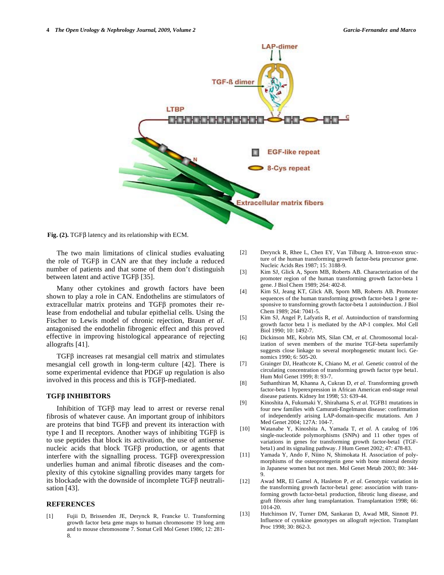

 $Fig. (2). TGF $\beta$  latency and its relationship with ECM.$ 

 The two main limitations of clinical studies evaluating the role of  $TGF\beta$  in CAN are that they include a reduced number of patients and that some of them don't distinguish between latent and active TGF $\beta$  [35].

 Many other cytokines and growth factors have been shown to play a role in CAN. Endothelins are stimulators of extracellular matrix proteins and TGFB promotes their release from endothelial and tubular epithelial cells. Using the Fischer to Lewis model of chronic rejection, Braun *et al*. antagonised the endothelin fibrogenic effect and this proved effective in improving histological appearance of rejecting allografts [41].

 $TGF\beta$  increases rat mesangial cell matrix and stimulates mesangial cell growth in long-term culture [42]. There is some experimental evidence that PDGF up regulation is also involved in this process and this is  $TGF\beta$ -mediated.

#### **TGF INHIBITORS**

Inhibition of TGF $\beta$  may lead to arrest or reverse renal fibrosis of whatever cause. An important group of inhibitors are proteins that bind  $TGF\beta$  and prevent its interaction with type I and II receptors. Another ways of inhibiting  $TGF\beta$  is to use peptides that block its activation, the use of antisense nucleic acids that block  $TGF\beta$  production, or agents that interfere with the signalling process. TGF $\beta$  overexpression underlies human and animal fibrotic diseases and the complexity of this cytokine signalling provides many targets for its blockade with the downside of incomplete  $TGF\beta$  neutralisation [43].

#### **REFERENCES**

[1] Fujii D, Brissenden JE, Derynck R, Francke U. Transforming growth factor beta gene maps to human chromosome 19 long arm and to mouse chromosome 7. Somat Cell Mol Genet 1986; 12: 281- 8.

- [2] Derynck R, Rhee L, Chen EY, Van Tilburg A. Intron-exon structure of the human transforming growth factor-beta precursor gene. Nucleic Acids Res 1987; 15: 3188-9.
- [3] Kim SJ, Glick A, Sporn MB, Roberts AB. Characterization of the promoter region of the human transforming growth factor-beta 1 gene. J Biol Chem 1989; 264: 402-8.
- [4] Kim SJ, Jeang KT, Glick AB, Sporn MB, Roberts AB. Promoter sequences of the human transforming growth factor-beta 1 gene responsive to transforming growth factor-beta 1 autoinduction. J Biol Chem 1989; 264: 7041-5.
- [5] Kim SJ, Angel P, Lafyatis R, *et al*. Autoinduction of transforming growth factor beta 1 is mediated by the AP-1 complex. Mol Cell Biol 1990; 10: 1492-7.
- [6] Dickinson ME, Kobrin MS, Silan CM, *et al*. Chromosomal localization of seven members of the murine TGF-beta superfamily suggests close linkage to several morphogenetic mutant loci. Genomics 1990; 6: 505-20.
- [7] Grainger DJ, Heathcote K, Chiano M, *et al*. Genetic control of the circulating concentration of transforming growth factor type beta1. Hum Mol Genet 1999; 8: 93-7.
- [8] Suthanthiran M, Khanna A, Cukran D, *et al*. Transforming growth factor-beta 1 hyperexpression in African American end-stage renal disease patients. Kidney Int 1998; 53: 639-44.
- [9] Kinoshita A, Fukumaki Y, Shirahama S, *et al*. TGFB1 mutations in four new families with Camurati-Engelmann disease: confirmation of independently arising LAP-domain-specific mutations. Am J Med Genet 2004; 127A: 104-7.
- [10] Watanabe Y, Kinoshita A, Yamada T, *et al*. A catalog of 106 single-nucleotide polymorphisms (SNPs) and 11 other types of variations in genes for transforming growth factor-beta1 (TGFbeta1) and its signaling pathway. J Hum Genet 2002; 47: 478-83.
- [11] Yamada Y, Ando F, Niino N, Shimokata H. Association of polymorphisms of the osteoprotegerin gene with bone mineral density in Japanese women but not men. Mol Genet Metab 2003; 80: 344- 9.
- [12] Awad MR, El Gamel A, Hasleton P, *et al*. Genotypic variation in the transforming growth factor-beta1 gene: association with transforming growth factor-beta1 production, fibrotic lung disease, and graft fibrosis after lung transplantation. Transplantation 1998; 66: 1014-20.
- [13] Hutchinson IV, Turner DM, Sankaran D, Awad MR, Sinnott PJ. Influence of cytokine genotypes on allograft rejection. Transplant Proc 1998; 30: 862-3.